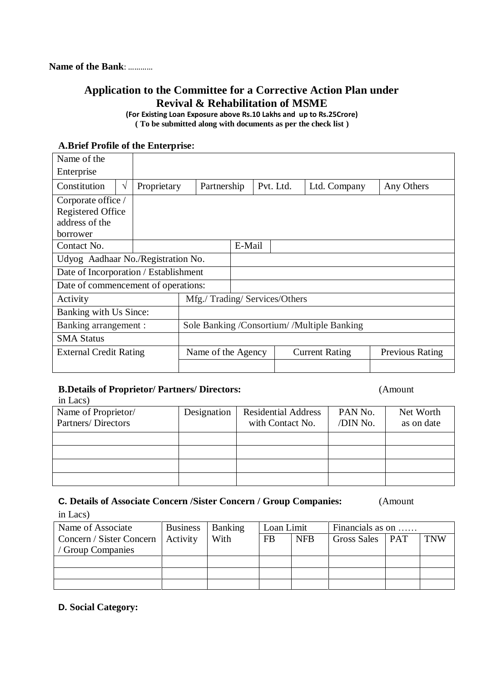### **Application to the Committee for a Corrective Action Plan under Revival & Rehabilitation of MSME**

**(For Existing Loan Exposure above Rs.10 Lakhs and up to Rs.25Crore) ( To be submitted along with documents as per the check list )**

| Name of the                           |             |                                             |                              |           |                       |                        |
|---------------------------------------|-------------|---------------------------------------------|------------------------------|-----------|-----------------------|------------------------|
| Enterprise                            |             |                                             |                              |           |                       |                        |
| Constitution<br>V                     | Proprietary | Partnership                                 |                              | Pvt. Ltd. | Ltd. Company          | Any Others             |
| Corporate office /                    |             |                                             |                              |           |                       |                        |
| <b>Registered Office</b>              |             |                                             |                              |           |                       |                        |
| address of the                        |             |                                             |                              |           |                       |                        |
| borrower                              |             |                                             |                              |           |                       |                        |
| Contact No.                           |             |                                             | E-Mail                       |           |                       |                        |
| Udyog Aadhaar No./Registration No.    |             |                                             |                              |           |                       |                        |
| Date of Incorporation / Establishment |             |                                             |                              |           |                       |                        |
| Date of commencement of operations:   |             |                                             |                              |           |                       |                        |
| Activity                              |             |                                             | Mfg./Trading/Services/Others |           |                       |                        |
| Banking with Us Since:                |             |                                             |                              |           |                       |                        |
| Banking arrangement :                 |             | Sole Banking /Consortium/ /Multiple Banking |                              |           |                       |                        |
| <b>SMA Status</b>                     |             |                                             |                              |           |                       |                        |
| <b>External Credit Rating</b>         |             | Name of the Agency                          |                              |           | <b>Current Rating</b> | <b>Previous Rating</b> |
|                                       |             |                                             |                              |           |                       |                        |

#### **A.Brief Profile of the Enterprise:**

#### **B.Details of Proprietor/ Partners/ Directors:** (Amount

in Lacs)

| $\mathbf{u}$ $\mathbf{u}$                 |             |                                                |                     |                         |
|-------------------------------------------|-------------|------------------------------------------------|---------------------|-------------------------|
| Name of Proprietor/<br>Partners/Directors | Designation | <b>Residential Address</b><br>with Contact No. | PAN No.<br>/DIN No. | Net Worth<br>as on date |
|                                           |             |                                                |                     |                         |
|                                           |             |                                                |                     |                         |
|                                           |             |                                                |                     |                         |
|                                           |             |                                                |                     |                         |

## **C. Details of Associate Concern /Sister Concern / Group Companies:** (Amount

in Lacs)

| Name of Associate        | <b>Business</b> | Banking |           | Loan Limit | Financials as on  |  |            |
|--------------------------|-----------------|---------|-----------|------------|-------------------|--|------------|
| Concern / Sister Concern | Activity        | With    | <b>FB</b> | <b>NFB</b> | Gross Sales   PAT |  | <b>TNW</b> |
| Group Companies          |                 |         |           |            |                   |  |            |
|                          |                 |         |           |            |                   |  |            |
|                          |                 |         |           |            |                   |  |            |
|                          |                 |         |           |            |                   |  |            |

#### **D. Social Category:**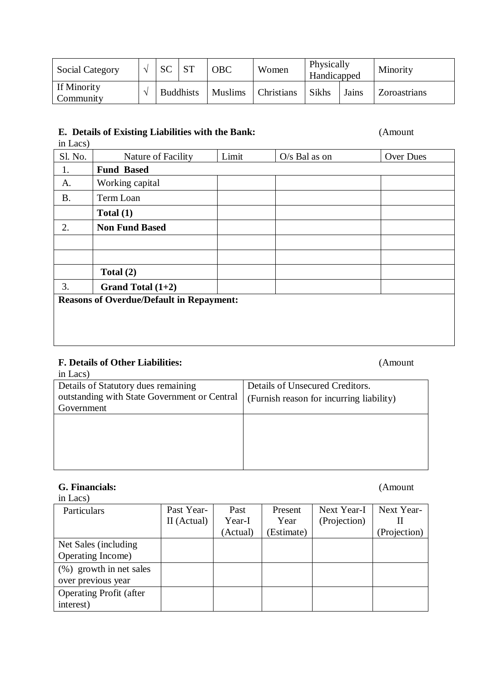| <b>Social Category</b>   | <b>SC</b>        | <b>OBC</b>     | Women             | Physically<br>Handicapped |       | Minority     |
|--------------------------|------------------|----------------|-------------------|---------------------------|-------|--------------|
| If Minority<br>Community | <b>Buddhists</b> | <b>Muslims</b> | <b>Christians</b> | <b>Sikhs</b>              | Jains | Zoroastrians |

#### **E. Details of Existing Liabilities with the Bank:** (Amount

# in Lacs) Sl. No. Nature of Facility Limit | O/s Bal as on | Over Dues 1. **Fund Based** A. Working capital B. Term Loan **Total (1)** 2. **Non Fund Based Total (2)** 3. **Grand Total (1+2) Reasons of Overdue/Default in Repayment:**

### **F. Details of Other Liabilities:** (Amount

| in Lacs)                                     |                                          |
|----------------------------------------------|------------------------------------------|
| Details of Statutory dues remaining          | Details of Unsecured Creditors.          |
| outstanding with State Government or Central | (Furnish reason for incurring liability) |
| Government                                   |                                          |
|                                              |                                          |
|                                              |                                          |
|                                              |                                          |
|                                              |                                          |
|                                              |                                          |

### **G. Financials:** (Amount

| in Lacs)                       |             |          |            |              |              |
|--------------------------------|-------------|----------|------------|--------------|--------------|
| Particulars                    | Past Year-  | Past     | Present    | Next Year-I  | Next Year-   |
|                                | II (Actual) | Year-I   | Year       | (Projection) |              |
|                                |             | (Actual) | (Estimate) |              | (Projection) |
| Net Sales (including)          |             |          |            |              |              |
| Operating Income)              |             |          |            |              |              |
| (%) growth in net sales        |             |          |            |              |              |
| over previous year             |             |          |            |              |              |
| <b>Operating Profit (after</b> |             |          |            |              |              |
| interest)                      |             |          |            |              |              |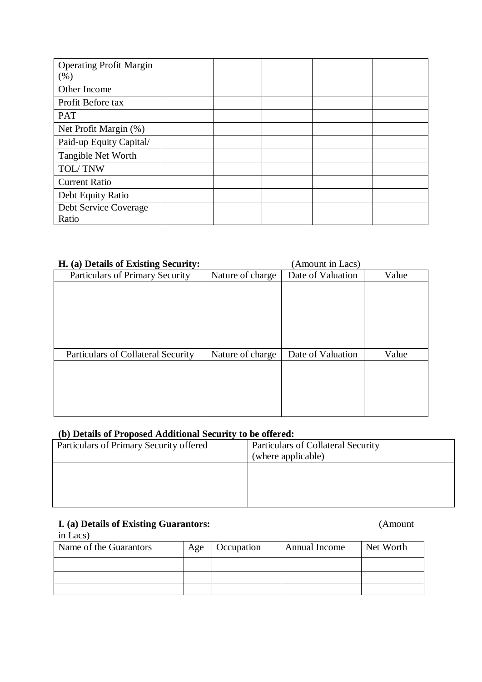| <b>Operating Profit Margin</b><br>(% ) |  |  |  |
|----------------------------------------|--|--|--|
| Other Income                           |  |  |  |
| Profit Before tax                      |  |  |  |
| <b>PAT</b>                             |  |  |  |
| Net Profit Margin (%)                  |  |  |  |
| Paid-up Equity Capital/                |  |  |  |
| Tangible Net Worth                     |  |  |  |
| TOL/TNW                                |  |  |  |
| <b>Current Ratio</b>                   |  |  |  |
| Debt Equity Ratio                      |  |  |  |
| Debt Service Coverage                  |  |  |  |
| Ratio                                  |  |  |  |

### **H. (a) Details of Existing Security:** (Amount in Lacs)

| II. (a) Details of Existing Security. |                  | (Annount in Lacs) |       |
|---------------------------------------|------------------|-------------------|-------|
| Particulars of Primary Security       | Nature of charge | Date of Valuation | Value |
|                                       |                  |                   |       |
|                                       |                  |                   |       |
|                                       |                  |                   |       |
|                                       |                  |                   |       |
|                                       |                  |                   |       |
|                                       |                  |                   |       |
| Particulars of Collateral Security    | Nature of charge | Date of Valuation | Value |
|                                       |                  |                   |       |
|                                       |                  |                   |       |
|                                       |                  |                   |       |
|                                       |                  |                   |       |
|                                       |                  |                   |       |
|                                       |                  |                   |       |

### **(b) Details of Proposed Additional Security to be offered:**

| Particulars of Primary Security offered | <b>Particulars of Collateral Security</b><br>(where applicable) |
|-----------------------------------------|-----------------------------------------------------------------|
|                                         |                                                                 |
|                                         |                                                                 |

#### **I. (a) Details of Existing Guarantors:** (Amount

in Lacs)

| Name of the Guarantors | Age | Occupation | Annual Income | Net Worth |
|------------------------|-----|------------|---------------|-----------|
|                        |     |            |               |           |
|                        |     |            |               |           |
|                        |     |            |               |           |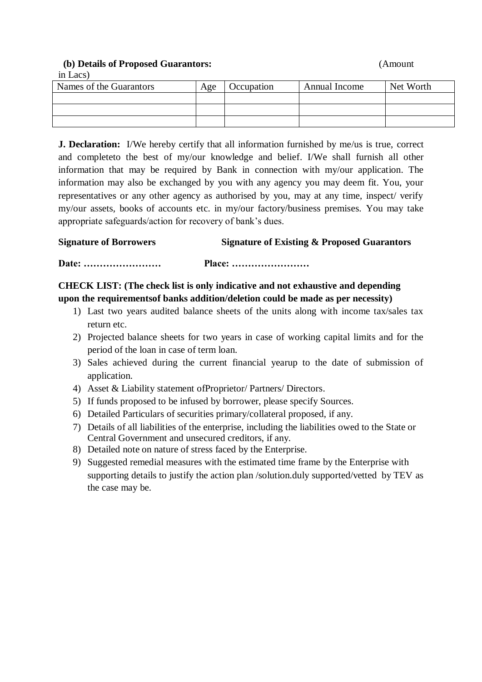**(b) Details of Proposed Guarantors:** (Amount

in Lacs)

| Names of the Guarantors | Age | Occupation | Annual Income | Net Worth |
|-------------------------|-----|------------|---------------|-----------|
|                         |     |            |               |           |
|                         |     |            |               |           |
|                         |     |            |               |           |

**J. Declaration:** I/We hereby certify that all information furnished by me/us is true, correct and completeto the best of my/our knowledge and belief. I/We shall furnish all other information that may be required by Bank in connection with my/our application. The information may also be exchanged by you with any agency you may deem fit. You, your representatives or any other agency as authorised by you, may at any time, inspect/ verify my/our assets, books of accounts etc. in my/our factory/business premises. You may take appropriate safeguards/action for recovery of bank's dues.

#### **Signature of Borrowers Signature of Existing & Proposed Guarantors**

**Date: …………………… Place: ……………………**

#### **CHECK LIST: (The check list is only indicative and not exhaustive and depending upon the requirementsof banks addition/deletion could be made as per necessity)**

- 1) Last two years audited balance sheets of the units along with income tax/sales tax return etc.
- 2) Projected balance sheets for two years in case of working capital limits and for the period of the loan in case of term loan.
- 3) Sales achieved during the current financial yearup to the date of submission of application.
- 4) Asset & Liability statement ofProprietor/ Partners/ Directors.
- 5) If funds proposed to be infused by borrower, please specify Sources.
- 6) Detailed Particulars of securities primary/collateral proposed, if any.
- 7) Details of all liabilities of the enterprise, including the liabilities owed to the State or Central Government and unsecured creditors, if any.
- 8) Detailed note on nature of stress faced by the Enterprise.
- 9) Suggested remedial measures with the estimated time frame by the Enterprise with supporting details to justify the action plan /solution.duly supported/vetted by TEV as the case may be.